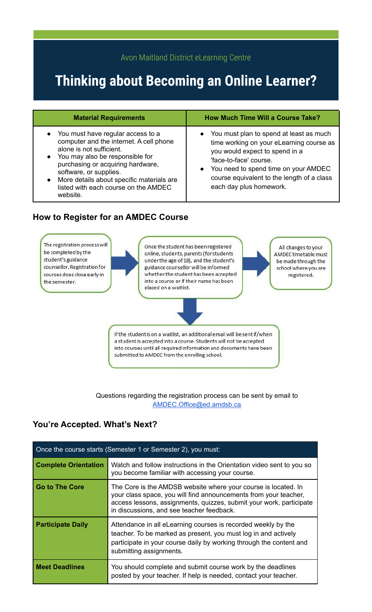## Avon Maitland District eLearning Centre

# **Thinking about Becoming an Online Learner?**

| <b>Material Requirements</b> |
|------------------------------|
|                              |

- You must have regular access to a computer and the internet. A cell phone alone is not sufficient.
- You may also be responsible for purchasing or acquiring hardware, software, or supplies.
- More details about specific materials are listed with each course on the AMDEC website.

### **How to Register for an AMDEC Course**

## **Material Requirements How Much Time Will a Course Take?**

- You must plan to spend at least as much time working on your eLearning course as you would expect to spend in a 'face-to-face' course.
- You need to spend time on your AMDEC course equivalent to the length of a class each day plus homework.



Questions regarding the registration process can be sent by email to [AMDEC.Office@ed.amdsb.ca](mailto:AMDEC.Office@ed.amdsb.ca)

## **You're Accepted. What's Next?**

| Once the course starts (Semester 1 or Semester 2), you must: |                                                                                                                                                                                                                                                        |
|--------------------------------------------------------------|--------------------------------------------------------------------------------------------------------------------------------------------------------------------------------------------------------------------------------------------------------|
| <b>Complete Orientation</b>                                  | Watch and follow instructions in the Orientation video sent to you so<br>you become familiar with accessing your course.                                                                                                                               |
| Go to The Core                                               | The Core is the AMDSB website where your course is located. In<br>your class space, you will find announcements from your teacher,<br>access lessons, assignments, quizzes, submit your work, participate<br>in discussions, and see teacher feedback. |
| <b>Participate Daily</b>                                     | Attendance in all eLearning courses is recorded weekly by the<br>teacher. To be marked as present, you must log in and actively<br>participate in your course daily by working through the content and<br>submitting assignments.                      |
| <b>Meet Deadlines</b>                                        | You should complete and submit course work by the deadlines<br>posted by your teacher. If help is needed, contact your teacher.                                                                                                                        |